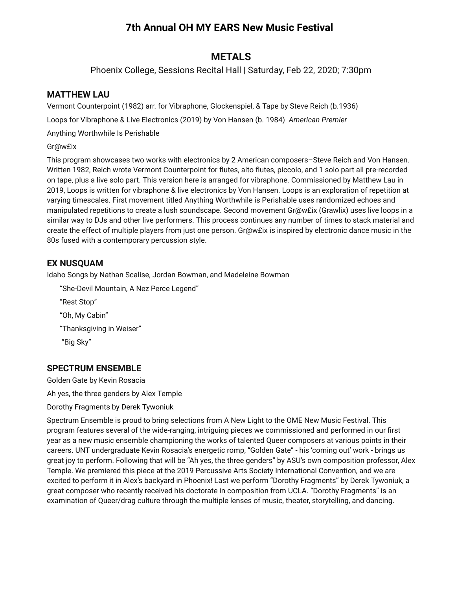# **7th Annual OH MY EARS New Music Festival**

## **METALS**

Phoenix College, Sessions Recital Hall | Saturday, Feb 22, 2020; 7:30pm

### **MATTHEW LAU**

Vermont Counterpoint (1982) arr. for Vibraphone, Glockenspiel, & Tape by Steve Reich (b.1936)

Loops for Vibraphone & Live Electronics (2019) by Von Hansen (b. 1984) *American Premier*

Anything Worthwhile Is Perishable

### Gr@w£ix

This program showcases two works with electronics by 2 American composers–Steve Reich and Von Hansen. Written 1982, Reich wrote Vermont Counterpoint for flutes, alto flutes, piccolo, and 1 solo part all pre-recorded on tape, plus a live solo part. This version here is arranged for vibraphone. Commissioned by Matthew Lau in 2019, Loops is written for vibraphone & live electronics by Von Hansen. Loops is an exploration of repetition at varying timescales. First movement titled Anything Worthwhile is Perishable uses randomized echoes and manipulated repetitions to create a lush soundscape. Second movement Gr@w£ix (Grawlix) uses live loops in a similar way to DJs and other live performers. This process continues any number of times to stack material and create the effect of multiple players from just one person. Gr@w£ix is inspired by electronic dance music in the 80s fused with a contemporary percussion style.

### **EX NUSQUAM**

Idaho Songs by Nathan Scalise, Jordan Bowman, and Madeleine Bowman

"She-Devil Mountain, A Nez Perce Legend" "Rest Stop" "Oh, My Cabin" "Thanksgiving in Weiser" "Big Sky"

## **SPECTRUM ENSEMBLE**

Golden Gate by Kevin Rosacia

Ah yes, the three genders by Alex Temple

### Dorothy Fragments by Derek Tywoniuk

Spectrum Ensemble is proud to bring selections from A New Light to the OME New Music Festival. This program features several of the wide-ranging, intriguing pieces we commissioned and performed in our first year as a new music ensemble championing the works of talented Queer composers at various points in their careers. UNT undergraduate Kevin Rosacia's energetic romp, "Golden Gate" - his 'coming out' work - brings us great joy to perform. Following that will be "Ah yes, the three genders" by ASU's own composition professor, Alex Temple. We premiered this piece at the 2019 Percussive Arts Society International Convention, and we are excited to perform it in Alex's backyard in Phoenix! Last we perform "Dorothy Fragments" by Derek Tywoniuk, a great composer who recently received his doctorate in composition from UCLA. "Dorothy Fragments" is an examination of Queer/drag culture through the multiple lenses of music, theater, storytelling, and dancing.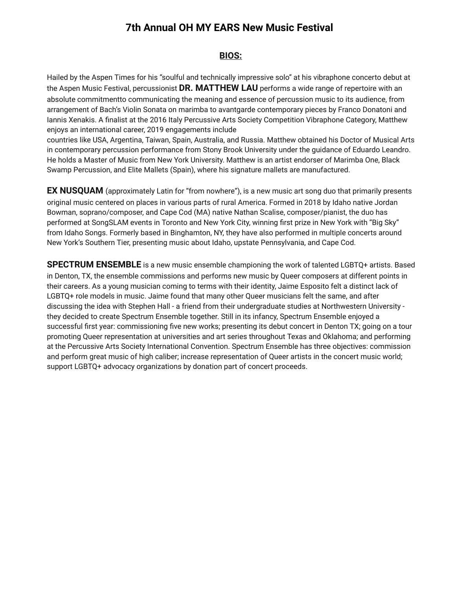# **7th Annual OH MY EARS New Music Festival**

### **BIOS:**

Hailed by the Aspen Times for his "soulful and technically impressive solo" at his vibraphone concerto debut at the Aspen Music Festival, percussionist **DR. MATTHEW LAU** performs a wide range of repertoire with an absolute commitmentto communicating the meaning and essence of percussion music to its audience, from arrangement of Bach's Violin Sonata on marimba to avantgarde contemporary pieces by Franco Donatoni and Iannis Xenakis. A finalist at the 2016 Italy Percussive Arts Society Competition Vibraphone Category, Matthew enjoys an international career, 2019 engagements include

countries like USA, Argentina, Taiwan, Spain, Australia, and Russia. Matthew obtained his Doctor of Musical Arts in contemporary percussion performance from Stony Brook University under the guidance of Eduardo Leandro. He holds a Master of Music from New York University. Matthew is an artist endorser of Marimba One, Black Swamp Percussion, and Elite Mallets (Spain), where his signature mallets are manufactured.

**EX NUSQUAM** (approximately Latin for "from nowhere"), is a new music art song duo that primarily presents original music centered on places in various parts of rural America. Formed in 2018 by Idaho native Jordan Bowman, soprano/composer, and Cape Cod (MA) native Nathan Scalise, composer/pianist, the duo has performed at SongSLAM events in Toronto and New York City, winning first prize in New York with "Big Sky" from Idaho Songs. Formerly based in Binghamton, NY, they have also performed in multiple concerts around New York's Southern Tier, presenting music about Idaho, upstate Pennsylvania, and Cape Cod.

**SPECTRUM ENSEMBLE** is a new music ensemble championing the work of talented LGBTQ+ artists. Based in Denton, TX, the ensemble commissions and performs new music by Queer composers at different points in their careers. As a young musician coming to terms with their identity, Jaime Esposito felt a distinct lack of LGBTQ+ role models in music. Jaime found that many other Queer musicians felt the same, and after discussing the idea with Stephen Hall - a friend from their undergraduate studies at Northwestern University they decided to create Spectrum Ensemble together. Still in its infancy, Spectrum Ensemble enjoyed a successful first year: commissioning five new works; presenting its debut concert in Denton TX; going on a tour promoting Queer representation at universities and art series throughout Texas and Oklahoma; and performing at the Percussive Arts Society International Convention. Spectrum Ensemble has three objectives: commission and perform great music of high caliber; increase representation of Queer artists in the concert music world; support LGBTQ+ advocacy organizations by donation part of concert proceeds.